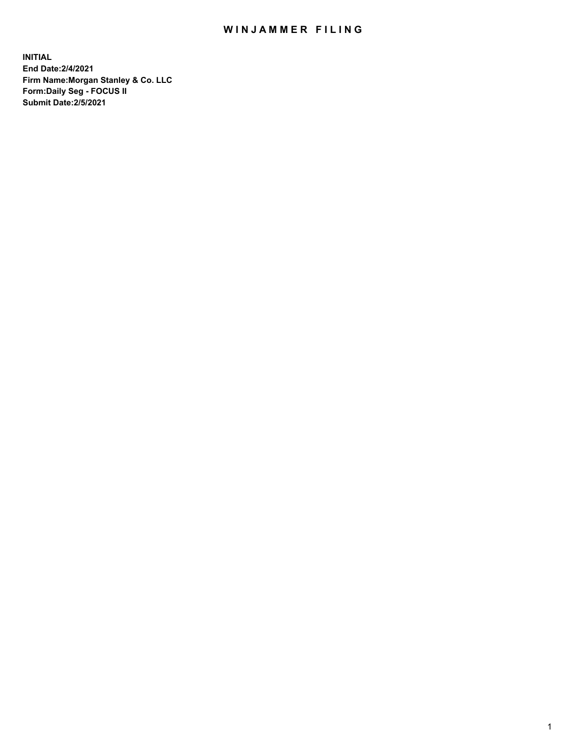## WIN JAMMER FILING

**INITIAL End Date:2/4/2021 Firm Name:Morgan Stanley & Co. LLC Form:Daily Seg - FOCUS II Submit Date:2/5/2021**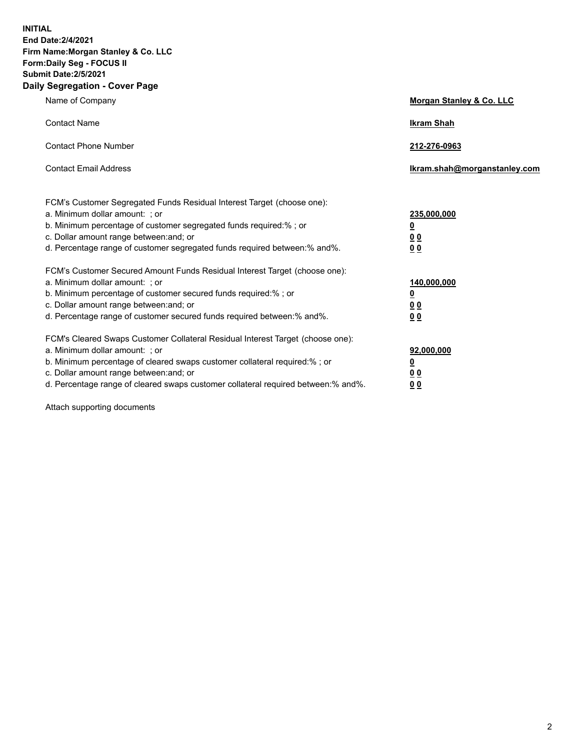**INITIAL End Date:2/4/2021 Firm Name:Morgan Stanley & Co. LLC Form:Daily Seg - FOCUS II Submit Date:2/5/2021 Daily Segregation - Cover Page**

| Name of Company                                                                                                                                                                                                                                                                                                                | <b>Morgan Stanley &amp; Co. LLC</b>                     |
|--------------------------------------------------------------------------------------------------------------------------------------------------------------------------------------------------------------------------------------------------------------------------------------------------------------------------------|---------------------------------------------------------|
| <b>Contact Name</b>                                                                                                                                                                                                                                                                                                            | <b>Ikram Shah</b>                                       |
| <b>Contact Phone Number</b>                                                                                                                                                                                                                                                                                                    | 212-276-0963                                            |
| <b>Contact Email Address</b>                                                                                                                                                                                                                                                                                                   | Ikram.shah@morganstanley.com                            |
| FCM's Customer Segregated Funds Residual Interest Target (choose one):<br>a. Minimum dollar amount: ; or<br>b. Minimum percentage of customer segregated funds required:% ; or<br>c. Dollar amount range between: and; or                                                                                                      | 235,000,000<br><u>0</u><br><u>00</u>                    |
| d. Percentage range of customer segregated funds required between:% and%.<br>FCM's Customer Secured Amount Funds Residual Interest Target (choose one):                                                                                                                                                                        | 0 <sup>0</sup>                                          |
| a. Minimum dollar amount: ; or<br>b. Minimum percentage of customer secured funds required:%; or<br>c. Dollar amount range between: and; or<br>d. Percentage range of customer secured funds required between: % and %.                                                                                                        | 140,000,000<br><u>0</u><br><u>0 0</u><br>0 <sub>0</sub> |
| FCM's Cleared Swaps Customer Collateral Residual Interest Target (choose one):<br>a. Minimum dollar amount: ; or<br>b. Minimum percentage of cleared swaps customer collateral required:% ; or<br>c. Dollar amount range between: and; or<br>d. Percentage range of cleared swaps customer collateral required between:% and%. | 92,000,000<br><u>0</u><br>0 Q<br>0 <sub>0</sub>         |

Attach supporting documents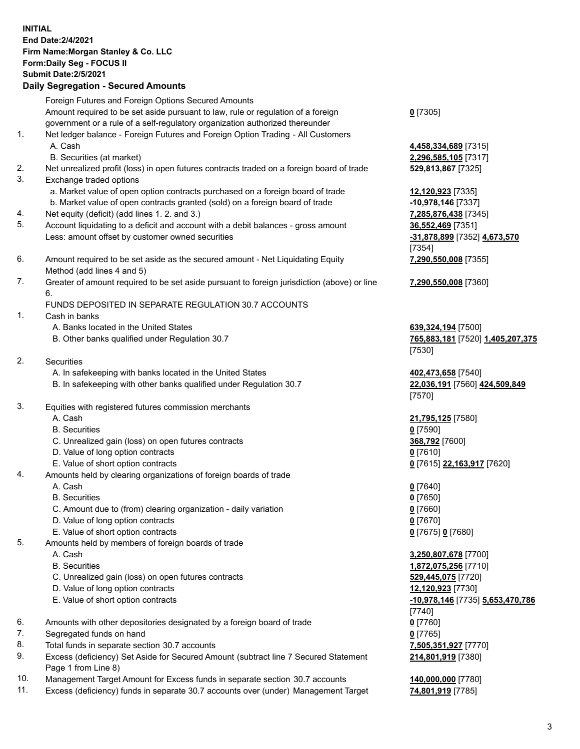## **INITIAL End Date:2/4/2021 Firm Name:Morgan Stanley & Co. LLC Form:Daily Seg - FOCUS II Submit Date:2/5/2021 Daily Segregation - Secured Amounts** Foreign Futures and Foreign Options Secured Amounts Amount required to be set aside pursuant to law, rule or regulation of a foreign government or a rule of a self-regulatory organization authorized thereunder 1. Net ledger balance - Foreign Futures and Foreign Option Trading - All Customers A. Cash **4,458,334,689** [7315] B. Securities (at market) **2,296,585,105** [7317] 2. Net unrealized profit (loss) in open futures contracts traded on a foreign board of trade **529,813,867** [7325] 3. Exchange traded options a. Market value of open option contracts purchased on a foreign board of trade **12,120,923** [7335] b. Market value of open contracts granted (sold) on a foreign board of trade **-10,978,146** [7337] 4. Net equity (deficit) (add lines 1. 2. and 3.) **7,285,876,438** [7345] 5. Account liquidating to a deficit and account with a debit balances - gross amount **36,552,469** [7351] Less: amount offset by customer owned securities **-31,878,899** [7352] **4,673,570** 6. Amount required to be set aside as the secured amount - Net Liquidating Equity Method (add lines 4 and 5) 7. Greater of amount required to be set aside pursuant to foreign jurisdiction (above) or line 6. FUNDS DEPOSITED IN SEPARATE REGULATION 30.7 ACCOUNTS 1. Cash in banks A. Banks located in the United States **639,324,194** [7500] B. Other banks qualified under Regulation 30.7 **765,883,181** [7520] **1,405,207,375** 2. Securities A. In safekeeping with banks located in the United States **402,473,658** [7540] B. In safekeeping with other banks qualified under Regulation 30.7 **22,036,191** [7560] **424,509,849** 3. Equities with registered futures commission merchants A. Cash **21,795,125** [7580] B. Securities **0** [7590] C. Unrealized gain (loss) on open futures contracts **368,792** [7600] D. Value of long option contracts **0** [7610] E. Value of short option contracts **0** [7615] **22,163,917** [7620] 4. Amounts held by clearing organizations of foreign boards of trade A. Cash **0** [7640] B. Securities **0** [7650] C. Amount due to (from) clearing organization - daily variation **0** [7660] D. Value of long option contracts **0** [7670] E. Value of short option contracts **0** [7675] **0** [7680] 5. Amounts held by members of foreign boards of trade A. Cash **3,250,807,678** [7700]

- 
- C. Unrealized gain (loss) on open futures contracts **529,445,075** [7720]
- D. Value of long option contracts **12,120,923** [7730]
- E. Value of short option contracts **-10,978,146** [7735] **5,653,470,786**
- 6. Amounts with other depositories designated by a foreign board of trade **0** [7760]
- 7. Segregated funds on hand **0** [7765]
- 8. Total funds in separate section 30.7 accounts **7,505,351,927** [7770]
- 9. Excess (deficiency) Set Aside for Secured Amount (subtract line 7 Secured Statement Page 1 from Line 8)
- 10. Management Target Amount for Excess funds in separate section 30.7 accounts **140,000,000** [7780]
- 11. Excess (deficiency) funds in separate 30.7 accounts over (under) Management Target **74,801,919** [7785]

**0** [7305]

[7354] **7,290,550,008** [7355]

**7,290,550,008** [7360]

[7530]

[7570]

 B. Securities **1,872,075,256** [7710] [7740] **214,801,919** [7380]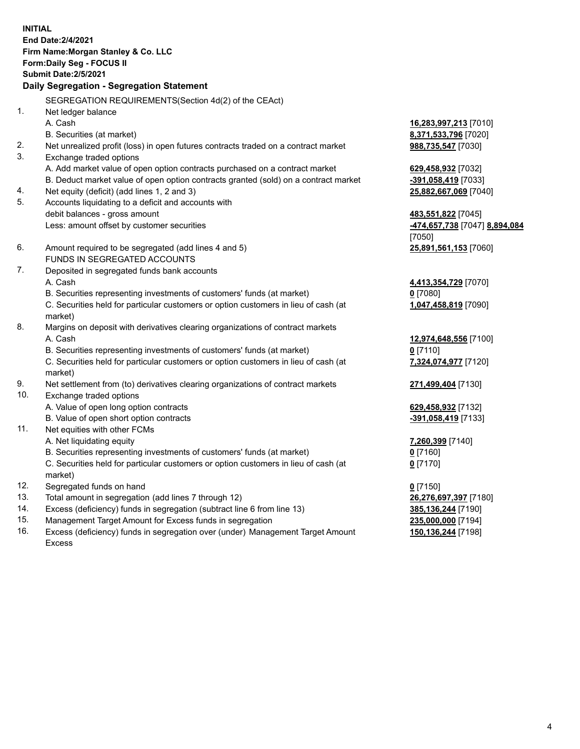|     | <b>INITIAL</b><br>End Date: 2/4/2021<br>Firm Name: Morgan Stanley & Co. LLC<br>Form: Daily Seg - FOCUS II<br><b>Submit Date: 2/5/2021</b> |                               |
|-----|-------------------------------------------------------------------------------------------------------------------------------------------|-------------------------------|
|     | Daily Segregation - Segregation Statement                                                                                                 |                               |
|     | SEGREGATION REQUIREMENTS(Section 4d(2) of the CEAct)                                                                                      |                               |
| 1.  | Net ledger balance                                                                                                                        |                               |
|     | A. Cash                                                                                                                                   | 16,283,997,213 [7010]         |
|     | B. Securities (at market)                                                                                                                 | 8,371,533,796 [7020]          |
| 2.  | Net unrealized profit (loss) in open futures contracts traded on a contract market                                                        | 988,735,547 [7030]            |
| 3.  | Exchange traded options                                                                                                                   |                               |
|     | A. Add market value of open option contracts purchased on a contract market                                                               | 629,458,932 [7032]            |
|     | B. Deduct market value of open option contracts granted (sold) on a contract market                                                       | -391,058,419 [7033]           |
| 4.  | Net equity (deficit) (add lines 1, 2 and 3)                                                                                               | 25,882,667,069 [7040]         |
| 5.  | Accounts liquidating to a deficit and accounts with                                                                                       |                               |
|     | debit balances - gross amount                                                                                                             | 483,551,822 [7045]            |
|     | Less: amount offset by customer securities                                                                                                | -474,657,738 [7047] 8,894,084 |
|     |                                                                                                                                           | [7050]                        |
| 6.  | Amount required to be segregated (add lines 4 and 5)                                                                                      | 25,891,561,153 [7060]         |
|     | FUNDS IN SEGREGATED ACCOUNTS                                                                                                              |                               |
| 7.  | Deposited in segregated funds bank accounts                                                                                               |                               |
|     | A. Cash                                                                                                                                   | 4,413,354,729 [7070]          |
|     | B. Securities representing investments of customers' funds (at market)                                                                    | $0$ [7080]                    |
|     | C. Securities held for particular customers or option customers in lieu of cash (at<br>market)                                            | 1,047,458,819 [7090]          |
| 8.  | Margins on deposit with derivatives clearing organizations of contract markets                                                            |                               |
|     | A. Cash                                                                                                                                   | 12,974,648,556 [7100]         |
|     | B. Securities representing investments of customers' funds (at market)                                                                    | $0$ [7110]                    |
|     | C. Securities held for particular customers or option customers in lieu of cash (at                                                       | 7,324,074,977 [7120]          |
|     | market)                                                                                                                                   |                               |
| 9.  | Net settlement from (to) derivatives clearing organizations of contract markets                                                           | 271,499,404 [7130]            |
| 10. | Exchange traded options                                                                                                                   |                               |
|     | A. Value of open long option contracts                                                                                                    | 629,458,932 [7132]            |
|     | B. Value of open short option contracts                                                                                                   | -391,058,419 [7133]           |
| 11. | Net equities with other FCMs                                                                                                              |                               |
|     | A. Net liquidating equity                                                                                                                 | 7,260,399 [7140]              |
|     | B. Securities representing investments of customers' funds (at market)                                                                    | $0$ [7160]                    |
|     | C. Securities held for particular customers or option customers in lieu of cash (at<br>market)                                            | $0$ [7170]                    |
| 12. | Segregated funds on hand                                                                                                                  | $0$ [7150]                    |
| 13. | Total amount in segregation (add lines 7 through 12)                                                                                      | 26,276,697,397 [7180]         |
| 14. | Excess (deficiency) funds in segregation (subtract line 6 from line 13)                                                                   | 385,136,244 [7190]            |
| 15  | concernent Terret Amount for Excess funds in conregation                                                                                  | <b>225 000 000 174041</b>     |

15. Management Target Amount for Excess funds in segregation<br>16. Excess (deficiency) funds in segregation over (under) Manag Excess (deficiency) funds in segregation over (under) Management Target Amount Excess

**150,136,244** [7198]